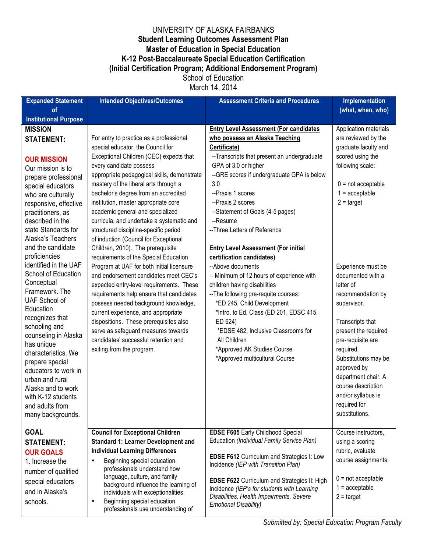## UNIVERSITY OF ALASKA FAIRBANKS **Student Learning Outcomes Assessment Plan Master of Education in Special Education K-12 Post-Baccalaureate Special Education Certification (Initial Certification Program; Additional Endorsement Program)** School of Education

March 14, 2014

| <b>Expanded Statement</b>                                                                                                                                                                                                                                                                                                                                                                                                                                                                                                                                                                                                                                              | <b>Intended Objectives/Outcomes</b>                                                                                                                                                                                                                                                                                                                                                                                                                                                                                                                                                                                                                                                                                                                                                                                                                                                                                                                                                            | <b>Assessment Criteria and Procedures</b>                                                                                                                                                                                                                                                                                                                                                                                                                                                                                                                                                                                                                                                                                                                                                 | <b>Implementation</b>                                                                                                                                                                                                                                                                                                                                                                                                                                                                                 |
|------------------------------------------------------------------------------------------------------------------------------------------------------------------------------------------------------------------------------------------------------------------------------------------------------------------------------------------------------------------------------------------------------------------------------------------------------------------------------------------------------------------------------------------------------------------------------------------------------------------------------------------------------------------------|------------------------------------------------------------------------------------------------------------------------------------------------------------------------------------------------------------------------------------------------------------------------------------------------------------------------------------------------------------------------------------------------------------------------------------------------------------------------------------------------------------------------------------------------------------------------------------------------------------------------------------------------------------------------------------------------------------------------------------------------------------------------------------------------------------------------------------------------------------------------------------------------------------------------------------------------------------------------------------------------|-------------------------------------------------------------------------------------------------------------------------------------------------------------------------------------------------------------------------------------------------------------------------------------------------------------------------------------------------------------------------------------------------------------------------------------------------------------------------------------------------------------------------------------------------------------------------------------------------------------------------------------------------------------------------------------------------------------------------------------------------------------------------------------------|-------------------------------------------------------------------------------------------------------------------------------------------------------------------------------------------------------------------------------------------------------------------------------------------------------------------------------------------------------------------------------------------------------------------------------------------------------------------------------------------------------|
| of<br><b>Institutional Purpose</b>                                                                                                                                                                                                                                                                                                                                                                                                                                                                                                                                                                                                                                     |                                                                                                                                                                                                                                                                                                                                                                                                                                                                                                                                                                                                                                                                                                                                                                                                                                                                                                                                                                                                |                                                                                                                                                                                                                                                                                                                                                                                                                                                                                                                                                                                                                                                                                                                                                                                           | (what, when, who)                                                                                                                                                                                                                                                                                                                                                                                                                                                                                     |
| <b>MISSION</b><br><b>STATEMENT:</b><br><b>OUR MISSION</b><br>Our mission is to<br>prepare professional<br>special educators<br>who are culturally<br>responsive, effective<br>practitioners, as<br>described in the<br>state Standards for<br>Alaska's Teachers<br>and the candidate<br>proficiencies<br>identified in the UAF<br>School of Education<br>Conceptual<br>Framework. The<br>UAF School of<br>Education<br>recognizes that<br>schooling and<br>counseling in Alaska<br>has unique<br>characteristics. We<br>prepare special<br>educators to work in<br>urban and rural<br>Alaska and to work<br>with K-12 students<br>and adults from<br>many backgrounds. | For entry to practice as a professional<br>special educator, the Council for<br>Exceptional Children (CEC) expects that<br>every candidate possess<br>appropriate pedagogical skills, demonstrate<br>mastery of the liberal arts through a<br>bachelor's degree from an accredited<br>institution, master appropriate core<br>academic general and specialized<br>curricula, and undertake a systematic and<br>structured discipline-specific period<br>of induction (Council for Exceptional<br>Children, 2010). The prerequisite<br>requirements of the Special Education<br>Program at UAF for both initial licensure<br>and endorsement candidates meet CEC's<br>expected entry-level requirements. These<br>requirements help ensure that candidates<br>possess needed background knowledge,<br>current experience, and appropriate<br>dispositions. These prerequisites also<br>serve as safeguard measures towards<br>candidates' successful retention and<br>exiting from the program. | <b>Entry Level Assessment (For candidates)</b><br>who possess an Alaska Teaching<br>Certificate)<br>--Transcripts that present an undergraduate<br>GPA of 3.0 or higher<br>--GRE scores if undergraduate GPA is below<br>3.0<br>--Praxis 1 scores<br>--Praxis 2 scores<br>--Statement of Goals (4-5 pages)<br>--Resume<br>-- Three Letters of Reference<br><b>Entry Level Assessment (For initial</b><br>certification candidates)<br>--Above documents<br>-- Minimum of 12 hours of experience with<br>children having disabilities<br>-- The following pre-requite courses:<br>*ED 245, Child Development<br>*Intro. to Ed. Class (ED 201, EDSC 415,<br>ED 624)<br>*EDSE 482, Inclusive Classrooms for<br>All Children<br>*Approved AK Studies Course<br>*Approved multicultural Course | Application materials<br>are reviewed by the<br>graduate faculty and<br>scored using the<br>following scale:<br>$0 = not acceptable$<br>$1 =$ acceptable<br>$2 = \text{target}$<br>Experience must be<br>documented with a<br>letter of<br>recommendation by<br>supervisor.<br>Transcripts that<br>present the required<br>pre-requisite are<br>required.<br>Substitutions may be<br>approved by<br>department chair. A<br>course description<br>and/or syllabus is<br>required for<br>substitutions. |
| <b>GOAL</b><br><b>STATEMENT:</b><br><b>OUR GOALS</b><br>1. Increase the<br>number of qualified<br>special educators<br>and in Alaska's<br>schools.                                                                                                                                                                                                                                                                                                                                                                                                                                                                                                                     | <b>Council for Exceptional Children</b><br><b>Standard 1: Learner Development and</b><br><b>Individual Learning Differences</b><br>Beginning special education<br>٠<br>professionals understand how<br>language, culture, and family<br>background influence the learning of<br>individuals with exceptionalities.<br>Beginning special education<br>٠<br>professionals use understanding of                                                                                                                                                                                                                                                                                                                                                                                                                                                                                                                                                                                                   | <b>EDSE F605 Early Childhood Special</b><br>Education (Individual Family Service Plan)<br>EDSE F612 Curriculum and Strategies I: Low<br>Incidence (IEP with Transition Plan)<br><b>EDSE F622 Curriculum and Strategies II: High</b><br>Incidence (IEP's for students with Learning<br>Disabilities, Health Impairments, Severe<br><b>Emotional Disability)</b>                                                                                                                                                                                                                                                                                                                                                                                                                            | Course instructors,<br>using a scoring<br>rubric, evaluate<br>course assignments.<br>$0 = not acceptable$<br>$1 =$ acceptable<br>$2 = \text{target}$                                                                                                                                                                                                                                                                                                                                                  |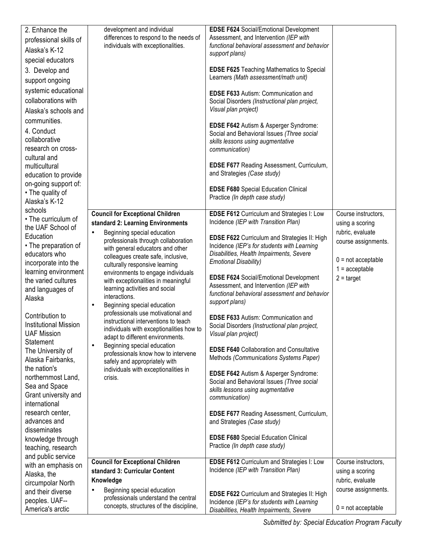| 2. Enhance the                              | development and individual                                                      | <b>EDSE F624 Social/Emotional Development</b>                                             |                                         |
|---------------------------------------------|---------------------------------------------------------------------------------|-------------------------------------------------------------------------------------------|-----------------------------------------|
| professional skills of                      | differences to respond to the needs of                                          | Assessment, and Intervention (IEP with                                                    |                                         |
| Alaska's K-12                               | individuals with exceptionalities.                                              | functional behavioral assessment and behavior                                             |                                         |
| special educators                           |                                                                                 | support plans)                                                                            |                                         |
| 3. Develop and                              |                                                                                 | <b>EDSE F625 Teaching Mathematics to Special</b>                                          |                                         |
| support ongoing                             |                                                                                 | Learners (Math assessment/math unit)                                                      |                                         |
| systemic educational                        |                                                                                 | <b>EDSE F633 Autism: Communication and</b>                                                |                                         |
| collaborations with                         |                                                                                 | Social Disorders (Instructional plan project,                                             |                                         |
| Alaska's schools and                        |                                                                                 | Visual plan project)                                                                      |                                         |
| communities.                                |                                                                                 |                                                                                           |                                         |
| 4. Conduct                                  |                                                                                 | EDSE F642 Autism & Asperger Syndrome:                                                     |                                         |
| collaborative                               |                                                                                 | Social and Behavioral Issues (Three social<br>skills lessons using augmentative           |                                         |
| research on cross-                          |                                                                                 | communication)                                                                            |                                         |
| cultural and                                |                                                                                 |                                                                                           |                                         |
| multicultural                               |                                                                                 | EDSE F677 Reading Assessment, Curriculum,                                                 |                                         |
| education to provide                        |                                                                                 | and Strategies (Case study)                                                               |                                         |
| on-going support of:                        |                                                                                 | <b>EDSE F680</b> Special Education Clinical                                               |                                         |
| • The quality of<br>Alaska's K-12           |                                                                                 | Practice (In depth case study)                                                            |                                         |
| schools                                     |                                                                                 |                                                                                           |                                         |
| • The curriculum of                         | <b>Council for Exceptional Children</b>                                         | <b>EDSE F612 Curriculum and Strategies I: Low</b><br>Incidence (IEP with Transition Plan) | Course instructors.                     |
| the UAF School of                           | standard 2: Learning Environments                                               |                                                                                           | using a scoring                         |
| Education                                   | Beginning special education<br>$\bullet$<br>professionals through collaboration | <b>EDSE F622 Curriculum and Strategies II: High</b>                                       | rubric, evaluate<br>course assignments. |
| • The preparation of                        | with general educators and other                                                | Incidence (IEP's for students with Learning                                               |                                         |
| educators who                               | colleagues create safe, inclusive,                                              | Disabilities, Health Impairments, Severe                                                  | $0 = not acceptable$                    |
| incorporate into the                        | culturally responsive learning                                                  | <b>Emotional Disability)</b>                                                              | $1 =$ acceptable                        |
| learning environment<br>the varied cultures | environments to engage individuals<br>with exceptionalities in meaningful       | <b>EDSE F624 Social/Emotional Development</b>                                             | $2 = \text{target}$                     |
| and languages of                            | learning activities and social                                                  | Assessment, and Intervention (IEP with                                                    |                                         |
| Alaska                                      | interactions.                                                                   | functional behavioral assessment and behavior                                             |                                         |
|                                             | Beginning special education<br>$\bullet$                                        | support plans)                                                                            |                                         |
| Contribution to                             | professionals use motivational and<br>instructional interventions to teach      | <b>EDSE F633 Autism: Communication and</b>                                                |                                         |
| <b>Institutional Mission</b>                | individuals with exceptionalities how to                                        | Social Disorders (Instructional plan project,                                             |                                         |
| <b>UAF Mission</b>                          | adapt to different environments.                                                | Visual plan project)                                                                      |                                         |
| Statement<br>The University of              | Beginning special education<br>$\bullet$                                        | <b>EDSE F640 Collaboration and Consultative</b>                                           |                                         |
| Alaska Fairbanks,                           | professionals know how to intervene                                             | Methods (Communications Systems Paper)                                                    |                                         |
| the nation's                                | safely and appropriately with<br>individuals with exceptionalities in           |                                                                                           |                                         |
| northernmost Land,                          | crisis.                                                                         | EDSE F642 Autism & Asperger Syndrome:                                                     |                                         |
| Sea and Space                               |                                                                                 | Social and Behavioral Issues (Three social<br>skills lessons using augmentative           |                                         |
| Grant university and                        |                                                                                 | communication)                                                                            |                                         |
| international                               |                                                                                 |                                                                                           |                                         |
| research center,                            |                                                                                 | EDSE F677 Reading Assessment, Curriculum,                                                 |                                         |
| advances and<br>disseminates                |                                                                                 | and Strategies (Case study)                                                               |                                         |
| knowledge through                           |                                                                                 | <b>EDSE F680</b> Special Education Clinical                                               |                                         |
| teaching, research                          |                                                                                 | Practice (In depth case study)                                                            |                                         |
| and public service                          |                                                                                 |                                                                                           |                                         |
| with an emphasis on                         | <b>Council for Exceptional Children</b>                                         | EDSE F612 Curriculum and Strategies I: Low<br>Incidence (IEP with Transition Plan)        | Course instructors,                     |
| Alaska, the                                 | standard 3: Curricular Content<br>Knowledge                                     |                                                                                           | using a scoring<br>rubric, evaluate     |
| circumpolar North                           | Beginning special education<br>$\bullet$                                        |                                                                                           | course assignments.                     |
| and their diverse<br>peoples. UAF--         | professionals understand the central                                            | <b>EDSE F622 Curriculum and Strategies II: High</b>                                       |                                         |
| America's arctic                            | concepts, structures of the discipline,                                         | Incidence (IEP's for students with Learning<br>Disabilities, Health Impairments, Severe   | $0 = not acceptable$                    |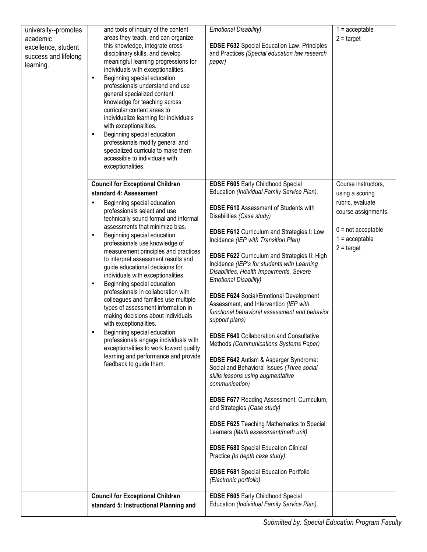| university--promotes | and tools of inquiry of the content                                      | <b>Emotional Disability)</b>                                             | $1 =$ acceptable     |
|----------------------|--------------------------------------------------------------------------|--------------------------------------------------------------------------|----------------------|
| academic             | areas they teach, and can organize                                       |                                                                          | $2 = \text{target}$  |
| excellence, student  | this knowledge, integrate cross-                                         | <b>EDSE F632</b> Special Education Law: Principles                       |                      |
| success and lifelong | disciplinary skills, and develop                                         | and Practices (Special education law research                            |                      |
| learning.            | meaningful learning progressions for                                     | paper)                                                                   |                      |
|                      | individuals with exceptionalities.                                       |                                                                          |                      |
|                      | Beginning special education<br>$\bullet$                                 |                                                                          |                      |
|                      | professionals understand and use                                         |                                                                          |                      |
|                      | general specialized content                                              |                                                                          |                      |
|                      | knowledge for teaching across                                            |                                                                          |                      |
|                      | curricular content areas to<br>individualize learning for individuals    |                                                                          |                      |
|                      | with exceptionalities.                                                   |                                                                          |                      |
|                      | Beginning special education<br>٠                                         |                                                                          |                      |
|                      | professionals modify general and                                         |                                                                          |                      |
|                      | specialized curricula to make them                                       |                                                                          |                      |
|                      | accessible to individuals with                                           |                                                                          |                      |
|                      | exceptionalities.                                                        |                                                                          |                      |
|                      |                                                                          |                                                                          |                      |
|                      | <b>Council for Exceptional Children</b>                                  | EDSE F605 Early Childhood Special                                        | Course instructors,  |
|                      | standard 4: Assessment                                                   | Education (Individual Family Service Plan).                              | using a scoring      |
|                      | Beginning special education<br>$\bullet$                                 | <b>EDSE F610 Assessment of Students with</b>                             | rubric, evaluate     |
|                      | professionals select and use                                             | Disabilities (Case study)                                                | course assignments.  |
|                      | technically sound formal and informal<br>assessments that minimize bias. |                                                                          |                      |
|                      | Beginning special education<br>$\bullet$                                 | <b>EDSE F612 Curriculum and Strategies I: Low</b>                        | $0 = not acceptable$ |
|                      | professionals use knowledge of                                           | Incidence (IEP with Transition Plan)                                     | $1 =$ acceptable     |
|                      | measurement principles and practices                                     |                                                                          | $2 = \text{target}$  |
|                      | to interpret assessment results and                                      | <b>EDSE F622 Curriculum and Strategies II: High</b>                      |                      |
|                      | guide educational decisions for                                          | Incidence (IEP's for students with Learning                              |                      |
|                      | individuals with exceptionalities.                                       | Disabilities, Health Impairments, Severe<br><b>Emotional Disability)</b> |                      |
|                      | Beginning special education<br>٠                                         |                                                                          |                      |
|                      | professionals in collaboration with                                      | <b>EDSE F624 Social/Emotional Development</b>                            |                      |
|                      | colleagues and families use multiple                                     | Assessment, and Intervention (IEP with                                   |                      |
|                      | types of assessment information in<br>making decisions about individuals | functional behavioral assessment and behavior                            |                      |
|                      | with exceptionalities.                                                   | support plans)                                                           |                      |
|                      | Beginning special education<br>٠                                         |                                                                          |                      |
|                      | professionals engage individuals with                                    | <b>EDSE F640 Collaboration and Consultative</b>                          |                      |
|                      | exceptionalities to work toward quality                                  | Methods (Communications Systems Paper)                                   |                      |
|                      | learning and performance and provide                                     | EDSE F642 Autism & Asperger Syndrome:                                    |                      |
|                      | feedback to guide them.                                                  | Social and Behavioral Issues (Three social                               |                      |
|                      |                                                                          | skills lessons using augmentative                                        |                      |
|                      |                                                                          | communication)                                                           |                      |
|                      |                                                                          |                                                                          |                      |
|                      |                                                                          | <b>EDSE F677 Reading Assessment, Curriculum,</b>                         |                      |
|                      |                                                                          | and Strategies (Case study)                                              |                      |
|                      |                                                                          | <b>EDSE F625 Teaching Mathematics to Special</b>                         |                      |
|                      |                                                                          | Learners (Math assessment/math unit)                                     |                      |
|                      |                                                                          |                                                                          |                      |
|                      |                                                                          | <b>EDSE F680</b> Special Education Clinical                              |                      |
|                      |                                                                          | Practice (In depth case study)                                           |                      |
|                      |                                                                          | <b>EDSE F681</b> Special Education Portfolio                             |                      |
|                      |                                                                          | (Electronic portfolio)                                                   |                      |
|                      |                                                                          |                                                                          |                      |
|                      | <b>Council for Exceptional Children</b>                                  | <b>EDSE F605 Early Childhood Special</b>                                 |                      |
|                      | standard 5: Instructional Planning and                                   | Education (Individual Family Service Plan).                              |                      |
|                      |                                                                          |                                                                          |                      |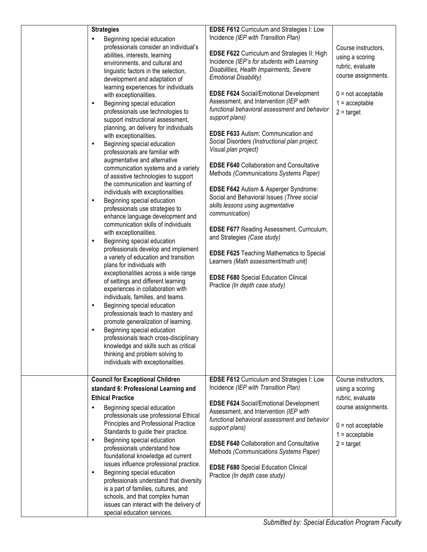|                                                                                                                                                                                                                                                                                                                                                                                                                                                                                                                                                                                                                                                                                                                                                                                                                                                                                                                                                                                                                                                                                                                                                                                                                                                                                                                                                                                                                                                                                                                      | Incidence (IEP with Transition Plan)                                                                                                                                                                                                                                                                                                                                                                                                                                                                                                                                                                                                                                                                                                                                                                                                                                                                                                                                                                                                |                                                                                                                                                      |
|----------------------------------------------------------------------------------------------------------------------------------------------------------------------------------------------------------------------------------------------------------------------------------------------------------------------------------------------------------------------------------------------------------------------------------------------------------------------------------------------------------------------------------------------------------------------------------------------------------------------------------------------------------------------------------------------------------------------------------------------------------------------------------------------------------------------------------------------------------------------------------------------------------------------------------------------------------------------------------------------------------------------------------------------------------------------------------------------------------------------------------------------------------------------------------------------------------------------------------------------------------------------------------------------------------------------------------------------------------------------------------------------------------------------------------------------------------------------------------------------------------------------|-------------------------------------------------------------------------------------------------------------------------------------------------------------------------------------------------------------------------------------------------------------------------------------------------------------------------------------------------------------------------------------------------------------------------------------------------------------------------------------------------------------------------------------------------------------------------------------------------------------------------------------------------------------------------------------------------------------------------------------------------------------------------------------------------------------------------------------------------------------------------------------------------------------------------------------------------------------------------------------------------------------------------------------|------------------------------------------------------------------------------------------------------------------------------------------------------|
| <b>Strategies</b><br>Beginning special education<br>professionals consider an individual's<br>abilities, interests, learning<br>environments, and cultural and<br>linguistic factors in the selection,<br>development and adaptation of<br>learning experiences for individuals<br>with exceptionalities.<br>Beginning special education<br>$\bullet$<br>professionals use technologies to<br>support instructional assessment,<br>planning, an delivery for individuals<br>with exceptionalities.<br>Beginning special education<br>$\bullet$<br>professionals are familiar with<br>augmentative and alternative<br>communication systems and a variety<br>of assistive technologies to support<br>the communication and learning of<br>individuals with exceptionalities.<br>Beginning special education<br>$\bullet$<br>professionals use strategies to<br>enhance language development and<br>communication skills of individuals<br>with exceptionalities.<br>Beginning special education<br>٠<br>professionals develop and implement<br>a variety of education and transition<br>plans for individuals with<br>exceptionalities across a wide range<br>of settings and different learning<br>experiences in collaboration with<br>individuals, families, and teams.<br>Beginning special education<br>$\bullet$<br>professionals teach to mastery and<br>promote generalization of learning.<br>Beginning special education<br>professionals teach cross-disciplinary<br>knowledge and skills such as critical | <b>EDSE F612</b> Curriculum and Strategies I: Low<br><b>EDSE F622 Curriculum and Strategies II: High</b><br>Incidence (IEP's for students with Learning<br>Disabilities, Health Impairments, Severe<br><b>Emotional Disability)</b><br><b>EDSE F624 Social/Emotional Development</b><br>Assessment, and Intervention (IEP with<br>functional behavioral assessment and behavior<br>support plans)<br><b>EDSE F633 Autism: Communication and</b><br>Social Disorders (Instructional plan project,<br>Visual plan project)<br><b>EDSE F640 Collaboration and Consultative</b><br>Methods (Communications Systems Paper)<br>EDSE F642 Autism & Asperger Syndrome:<br>Social and Behavioral Issues (Three social<br>skills lessons using augmentative<br>communication)<br><b>EDSE F677 Reading Assessment, Curriculum,</b><br>and Strategies (Case study)<br><b>EDSE F625 Teaching Mathematics to Special</b><br>Learners (Math assessment/math unit)<br><b>EDSE F680</b> Special Education Clinical<br>Practice (In depth case study) | Course instructors,<br>using a scoring<br>rubric, evaluate<br>course assignments.<br>$0 = not acceptable$<br>$1 =$ acceptable<br>$2 = \text{target}$ |
| thinking and problem solving to                                                                                                                                                                                                                                                                                                                                                                                                                                                                                                                                                                                                                                                                                                                                                                                                                                                                                                                                                                                                                                                                                                                                                                                                                                                                                                                                                                                                                                                                                      |                                                                                                                                                                                                                                                                                                                                                                                                                                                                                                                                                                                                                                                                                                                                                                                                                                                                                                                                                                                                                                     |                                                                                                                                                      |
| individuals with exceptionalities.                                                                                                                                                                                                                                                                                                                                                                                                                                                                                                                                                                                                                                                                                                                                                                                                                                                                                                                                                                                                                                                                                                                                                                                                                                                                                                                                                                                                                                                                                   |                                                                                                                                                                                                                                                                                                                                                                                                                                                                                                                                                                                                                                                                                                                                                                                                                                                                                                                                                                                                                                     |                                                                                                                                                      |
| <b>Council for Exceptional Children</b>                                                                                                                                                                                                                                                                                                                                                                                                                                                                                                                                                                                                                                                                                                                                                                                                                                                                                                                                                                                                                                                                                                                                                                                                                                                                                                                                                                                                                                                                              | <b>EDSE F612 Curriculum and Strategies I: Low</b>                                                                                                                                                                                                                                                                                                                                                                                                                                                                                                                                                                                                                                                                                                                                                                                                                                                                                                                                                                                   | Course instructors,                                                                                                                                  |
| standard 6: Professional Learning and                                                                                                                                                                                                                                                                                                                                                                                                                                                                                                                                                                                                                                                                                                                                                                                                                                                                                                                                                                                                                                                                                                                                                                                                                                                                                                                                                                                                                                                                                | Incidence (IEP with Transition Plan)                                                                                                                                                                                                                                                                                                                                                                                                                                                                                                                                                                                                                                                                                                                                                                                                                                                                                                                                                                                                | using a scoring                                                                                                                                      |
| <b>Ethical Practice</b>                                                                                                                                                                                                                                                                                                                                                                                                                                                                                                                                                                                                                                                                                                                                                                                                                                                                                                                                                                                                                                                                                                                                                                                                                                                                                                                                                                                                                                                                                              |                                                                                                                                                                                                                                                                                                                                                                                                                                                                                                                                                                                                                                                                                                                                                                                                                                                                                                                                                                                                                                     | rubric, evaluate                                                                                                                                     |
| Beginning special education<br>$\bullet$<br>professionals use professional Ethical<br>Principles and Professional Practice<br>Standards to guide their practice.<br>Beginning special education<br>$\bullet$<br>professionals understand how<br>foundational knowledge ad current<br>issues influence professional practice.<br>Beginning special education<br>$\bullet$<br>professionals understand that diversity<br>is a part of families, cultures, and<br>schools, and that complex human<br>issues can interact with the delivery of<br>special education services.                                                                                                                                                                                                                                                                                                                                                                                                                                                                                                                                                                                                                                                                                                                                                                                                                                                                                                                                            | EDSE F624 Social/Emotional Development<br>Assessment, and Intervention (IEP with<br>functional behavioral assessment and behavior<br>support plans)<br><b>EDSE F640 Collaboration and Consultative</b><br>Methods (Communications Systems Paper)<br><b>EDSE F680</b> Special Education Clinical<br>Practice (In depth case study)                                                                                                                                                                                                                                                                                                                                                                                                                                                                                                                                                                                                                                                                                                   | course assignments.<br>$0 = not acceptable$<br>$1 =$ acceptable<br>$2 = \text{target}$                                                               |